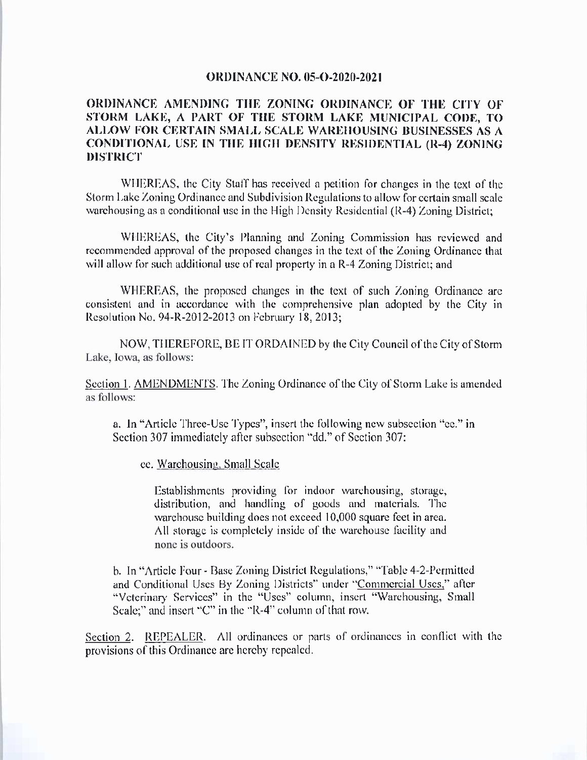## **ORDINANCE NO. 05-0-2020-2021**

## ORDINANCE AMENDING THE ZONING ORDINANCE OF THE CITY OF STORM LAKE, A PART OF THE STORM LAKE MUNICIPAL CODE, TO ALLOW FOR CERTAIN SMALL SCALE WAREHOUSING BUSINESSES AS A CONDITIONAL USE IN THE HIGH DENSITY RESIDENTIAL ( R-4) ZONING DISTRICT

WHEREAS; the City Staff has received a petition for changes in the text of the Storm Lake Zoning Ordinance and Subdivision Regulations to allow for certain small scale warehousing as a conditional use in the High Density Residential (R-4) Zoning District;

WHEREAS, the City's Planning and Zoning Commission has reviewed and recommended approval of the proposed changes in the text of the Zoning Ordinance that will allow for such additional use of real property in a R-4 Zoning District; and

WHEREAS, the proposed changes in the text of such Zoning Ordinance are consistent and in accordance with the comprehensive plan adopted by the City in Resolution No. 94-R-2012-2013 on February 18, 2013;

NOW, THEREFORE, BE IT ORDAINED by the City Council of the City of Storm Lake, Iowa, as follows:

Section 1. AMENDMENTS. The Zoning Ordinance of the City of Storm Lake is amended as follows:

a. In "Article Three-Use Types", insert the following new subsection "ee." in Section 307 immediately after subsection "dd." of Section 307:

ee. Warehousing. Small Scale

Establishments providing for indoor warehousing, storage, distribution, and handling of goods and materials. The warehouse building does not exceed 10,000 square feet in area. All storage is completely inside of the warehouse facility and none is outdoors.

b. In "Article Four - Base Zoning District Regulations," "Table 4 -2 -Permitted and Conditional Uses By Zoning Districts" under "Commercial Uses,' after "Veterinary Services" in the "Uses" column, insert "Warehousing, Small Scale;" and insert "C" in the "R-4" column of that row.

Section 2. REPEALER. All ordinances or parts of ordinances in conflict with the provisions of this Ordinance are hereby repealed.